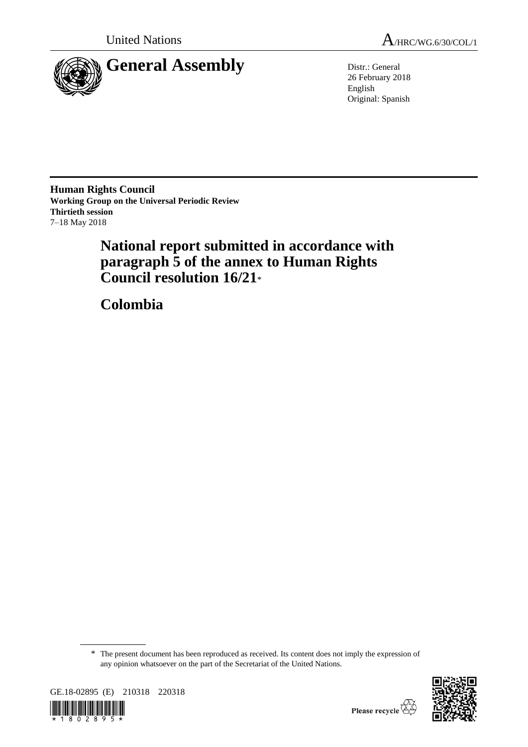

26 February 2018 English Original: Spanish

**Human Rights Council Working Group on the Universal Periodic Review Thirtieth session** 7–18 May 2018

# **National report submitted in accordance with paragraph 5 of the annex to Human Rights Council resolution 16/21**\*

**Colombia**

<sup>\*</sup> The present document has been reproduced as received. Its content does not imply the expression of any opinion whatsoever on the part of the Secretariat of the United Nations.



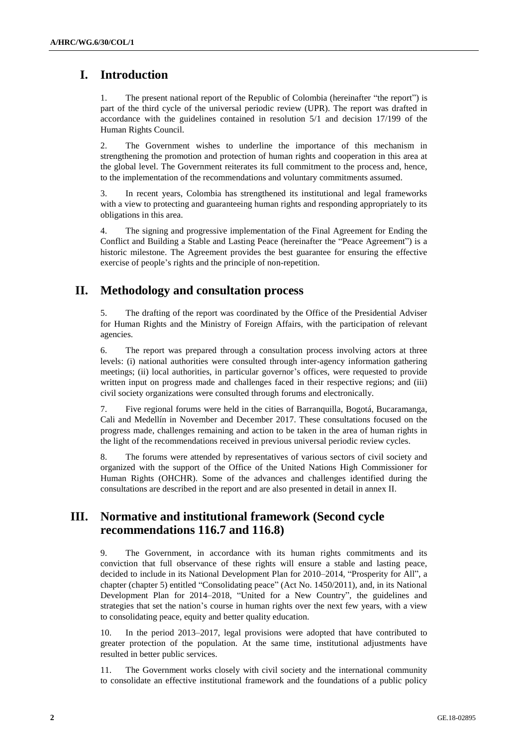# **I. Introduction**

1. The present national report of the Republic of Colombia (hereinafter "the report") is part of the third cycle of the universal periodic review (UPR). The report was drafted in accordance with the guidelines contained in resolution 5/1 and decision 17/199 of the Human Rights Council.

2. The Government wishes to underline the importance of this mechanism in strengthening the promotion and protection of human rights and cooperation in this area at the global level. The Government reiterates its full commitment to the process and, hence, to the implementation of the recommendations and voluntary commitments assumed.

3. In recent years, Colombia has strengthened its institutional and legal frameworks with a view to protecting and guaranteeing human rights and responding appropriately to its obligations in this area.

4. The signing and progressive implementation of the Final Agreement for Ending the Conflict and Building a Stable and Lasting Peace (hereinafter the "Peace Agreement") is a historic milestone. The Agreement provides the best guarantee for ensuring the effective exercise of people's rights and the principle of non-repetition.

# **II. Methodology and consultation process**

5. The drafting of the report was coordinated by the Office of the Presidential Adviser for Human Rights and the Ministry of Foreign Affairs, with the participation of relevant agencies.

6. The report was prepared through a consultation process involving actors at three levels: (i) national authorities were consulted through inter-agency information gathering meetings; (ii) local authorities, in particular governor's offices, were requested to provide written input on progress made and challenges faced in their respective regions; and (iii) civil society organizations were consulted through forums and electronically.

7. Five regional forums were held in the cities of Barranquilla, Bogotá, Bucaramanga, Cali and Medellín in November and December 2017. These consultations focused on the progress made, challenges remaining and action to be taken in the area of human rights in the light of the recommendations received in previous universal periodic review cycles.

8. The forums were attended by representatives of various sectors of civil society and organized with the support of the Office of the United Nations High Commissioner for Human Rights (OHCHR). Some of the advances and challenges identified during the consultations are described in the report and are also presented in detail in annex II.

# **III. Normative and institutional framework (Second cycle recommendations 116.7 and 116.8)**

9. The Government, in accordance with its human rights commitments and its conviction that full observance of these rights will ensure a stable and lasting peace, decided to include in its National Development Plan for 2010–2014, "Prosperity for All", a chapter (chapter 5) entitled "Consolidating peace" (Act No. 1450/2011), and, in its National Development Plan for 2014–2018, "United for a New Country", the guidelines and strategies that set the nation's course in human rights over the next few years, with a view to consolidating peace, equity and better quality education.

10. In the period 2013–2017, legal provisions were adopted that have contributed to greater protection of the population. At the same time, institutional adjustments have resulted in better public services.

11. The Government works closely with civil society and the international community to consolidate an effective institutional framework and the foundations of a public policy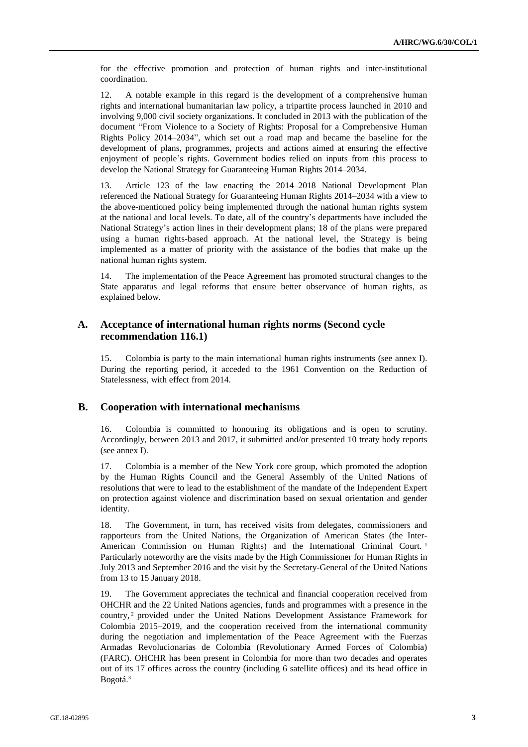for the effective promotion and protection of human rights and inter-institutional coordination.

12. A notable example in this regard is the development of a comprehensive human rights and international humanitarian law policy, a tripartite process launched in 2010 and involving 9,000 civil society organizations. It concluded in 2013 with the publication of the document "From Violence to a Society of Rights: Proposal for a Comprehensive Human Rights Policy 2014–2034", which set out a road map and became the baseline for the development of plans, programmes, projects and actions aimed at ensuring the effective enjoyment of people's rights. Government bodies relied on inputs from this process to develop the National Strategy for Guaranteeing Human Rights 2014–2034.

13. Article 123 of the law enacting the 2014–2018 National Development Plan referenced the National Strategy for Guaranteeing Human Rights 2014–2034 with a view to the above-mentioned policy being implemented through the national human rights system at the national and local levels. To date, all of the country's departments have included the National Strategy's action lines in their development plans; 18 of the plans were prepared using a human rights-based approach. At the national level, the Strategy is being implemented as a matter of priority with the assistance of the bodies that make up the national human rights system.

14. The implementation of the Peace Agreement has promoted structural changes to the State apparatus and legal reforms that ensure better observance of human rights, as explained below.

# **A. Acceptance of international human rights norms (Second cycle recommendation 116.1)**

15. Colombia is party to the main international human rights instruments (see annex I). During the reporting period, it acceded to the 1961 Convention on the Reduction of Statelessness, with effect from 2014.

## **B. Cooperation with international mechanisms**

16. Colombia is committed to honouring its obligations and is open to scrutiny. Accordingly, between 2013 and 2017, it submitted and/or presented 10 treaty body reports (see annex I).

17. Colombia is a member of the New York core group, which promoted the adoption by the Human Rights Council and the General Assembly of the United Nations of resolutions that were to lead to the establishment of the mandate of the Independent Expert on protection against violence and discrimination based on sexual orientation and gender identity.

18. The Government, in turn, has received visits from delegates, commissioners and rapporteurs from the United Nations, the Organization of American States (the Inter-American Commission on Human Rights) and the International Criminal Court.<sup>1</sup> Particularly noteworthy are the visits made by the High Commissioner for Human Rights in July 2013 and September 2016 and the visit by the Secretary-General of the United Nations from 13 to 15 January 2018.

19. The Government appreciates the technical and financial cooperation received from OHCHR and the 22 United Nations agencies, funds and programmes with a presence in the country, <sup>2</sup> provided under the United Nations Development Assistance Framework for Colombia 2015–2019, and the cooperation received from the international community during the negotiation and implementation of the Peace Agreement with the Fuerzas Armadas Revolucionarias de Colombia (Revolutionary Armed Forces of Colombia) (FARC). OHCHR has been present in Colombia for more than two decades and operates out of its 17 offices across the country (including 6 satellite offices) and its head office in Bogotá.3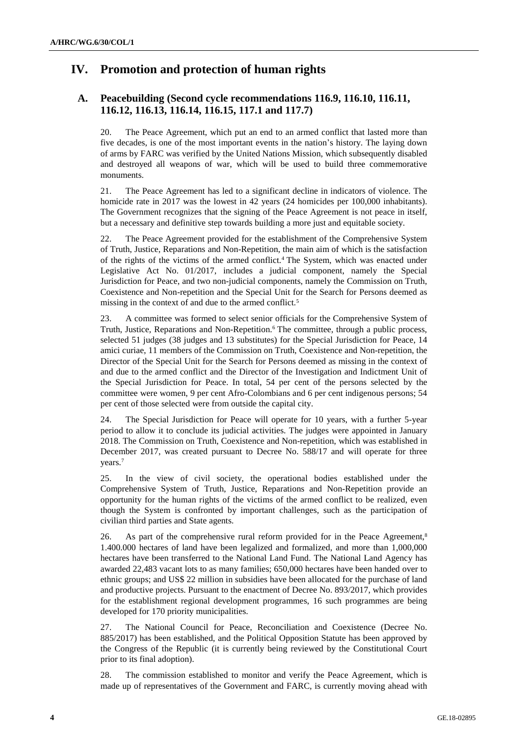# **IV. Promotion and protection of human rights**

# **A. Peacebuilding (Second cycle recommendations 116.9, 116.10, 116.11, 116.12, 116.13, 116.14, 116.15, 117.1 and 117.7)**

20. The Peace Agreement, which put an end to an armed conflict that lasted more than five decades, is one of the most important events in the nation's history. The laying down of arms by FARC was verified by the United Nations Mission, which subsequently disabled and destroyed all weapons of war, which will be used to build three commemorative monuments.

21. The Peace Agreement has led to a significant decline in indicators of violence. The homicide rate in 2017 was the lowest in 42 years (24 homicides per 100,000 inhabitants). The Government recognizes that the signing of the Peace Agreement is not peace in itself, but a necessary and definitive step towards building a more just and equitable society.

22. The Peace Agreement provided for the establishment of the Comprehensive System of Truth, Justice, Reparations and Non-Repetition, the main aim of which is the satisfaction of the rights of the victims of the armed conflict.<sup>4</sup> The System, which was enacted under Legislative Act No. 01/2017, includes a judicial component, namely the Special Jurisdiction for Peace, and two non-judicial components, namely the Commission on Truth, Coexistence and Non-repetition and the Special Unit for the Search for Persons deemed as missing in the context of and due to the armed conflict.<sup>5</sup>

23. A committee was formed to select senior officials for the Comprehensive System of Truth, Justice, Reparations and Non-Repetition.<sup>6</sup> The committee, through a public process, selected 51 judges (38 judges and 13 substitutes) for the Special Jurisdiction for Peace, 14 amici curiae, 11 members of the Commission on Truth, Coexistence and Non-repetition, the Director of the Special Unit for the Search for Persons deemed as missing in the context of and due to the armed conflict and the Director of the Investigation and Indictment Unit of the Special Jurisdiction for Peace. In total, 54 per cent of the persons selected by the committee were women, 9 per cent Afro-Colombians and 6 per cent indigenous persons; 54 per cent of those selected were from outside the capital city.

24. The Special Jurisdiction for Peace will operate for 10 years, with a further 5-year period to allow it to conclude its judicial activities. The judges were appointed in January 2018. The Commission on Truth, Coexistence and Non-repetition, which was established in December 2017, was created pursuant to Decree No. 588/17 and will operate for three years.<sup>7</sup>

25. In the view of civil society, the operational bodies established under the Comprehensive System of Truth, Justice, Reparations and Non-Repetition provide an opportunity for the human rights of the victims of the armed conflict to be realized, even though the System is confronted by important challenges, such as the participation of civilian third parties and State agents.

26. As part of the comprehensive rural reform provided for in the Peace Agreement,<sup>8</sup> 1.400.000 hectares of land have been legalized and formalized, and more than 1,000,000 hectares have been transferred to the National Land Fund. The National Land Agency has awarded 22,483 vacant lots to as many families; 650,000 hectares have been handed over to ethnic groups; and US\$ 22 million in subsidies have been allocated for the purchase of land and productive projects. Pursuant to the enactment of Decree No. 893/2017, which provides for the establishment regional development programmes, 16 such programmes are being developed for 170 priority municipalities.

27. The National Council for Peace, Reconciliation and Coexistence (Decree No. 885/2017) has been established, and the Political Opposition Statute has been approved by the Congress of the Republic (it is currently being reviewed by the Constitutional Court prior to its final adoption).

28. The commission established to monitor and verify the Peace Agreement, which is made up of representatives of the Government and FARC, is currently moving ahead with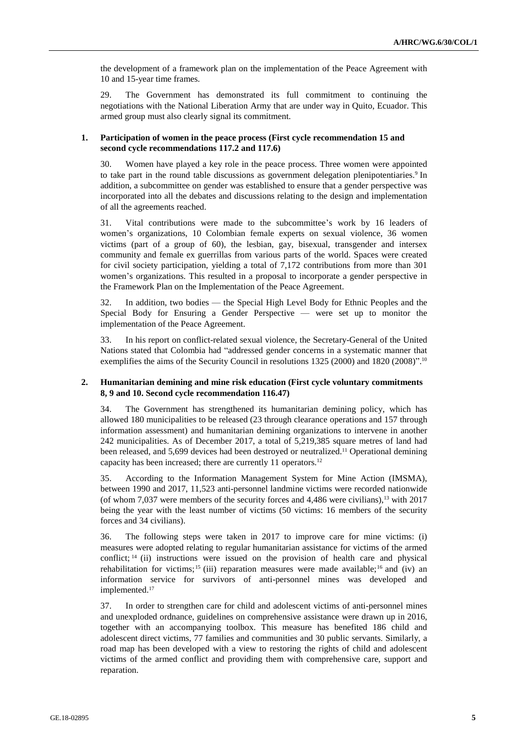the development of a framework plan on the implementation of the Peace Agreement with 10 and 15-year time frames.

29. The Government has demonstrated its full commitment to continuing the negotiations with the National Liberation Army that are under way in Quito, Ecuador. This armed group must also clearly signal its commitment.

#### **1. Participation of women in the peace process (First cycle recommendation 15 and second cycle recommendations 117.2 and 117.6)**

30. Women have played a key role in the peace process. Three women were appointed to take part in the round table discussions as government delegation plenipotentiaries.<sup>9</sup> In addition, a subcommittee on gender was established to ensure that a gender perspective was incorporated into all the debates and discussions relating to the design and implementation of all the agreements reached.

31. Vital contributions were made to the subcommittee's work by 16 leaders of women's organizations, 10 Colombian female experts on sexual violence, 36 women victims (part of a group of 60), the lesbian, gay, bisexual, transgender and intersex community and female ex guerrillas from various parts of the world. Spaces were created for civil society participation, yielding a total of 7,172 contributions from more than 301 women's organizations. This resulted in a proposal to incorporate a gender perspective in the Framework Plan on the Implementation of the Peace Agreement.

32. In addition, two bodies — the Special High Level Body for Ethnic Peoples and the Special Body for Ensuring a Gender Perspective — were set up to monitor the implementation of the Peace Agreement.

33. In his report on conflict-related sexual violence, the Secretary-General of the United Nations stated that Colombia had "addressed gender concerns in a systematic manner that exemplifies the aims of the Security Council in resolutions 1325 (2000) and 1820 (2008)". 10

### **2. Humanitarian demining and mine risk education (First cycle voluntary commitments 8, 9 and 10. Second cycle recommendation 116.47)**

34. The Government has strengthened its humanitarian demining policy, which has allowed 180 municipalities to be released (23 through clearance operations and 157 through information assessment) and humanitarian demining organizations to intervene in another 242 municipalities. As of December 2017, a total of 5,219,385 square metres of land had been released, and 5,699 devices had been destroyed or neutralized.<sup>11</sup> Operational demining capacity has been increased; there are currently 11 operators.<sup>12</sup>

35. According to the Information Management System for Mine Action (IMSMA), between 1990 and 2017, 11,523 anti-personnel landmine victims were recorded nationwide (of whom 7,037 were members of the security forces and 4,486 were civilians),<sup>13</sup> with 2017 being the year with the least number of victims (50 victims: 16 members of the security forces and 34 civilians).

36. The following steps were taken in 2017 to improve care for mine victims: (i) measures were adopted relating to regular humanitarian assistance for victims of the armed conflict; <sup>14</sup> (ii) instructions were issued on the provision of health care and physical rehabilitation for victims;<sup>15</sup> (iii) reparation measures were made available;<sup>16</sup> and (iv) an information service for survivors of anti-personnel mines was developed and implemented.<sup>17</sup>

37. In order to strengthen care for child and adolescent victims of anti-personnel mines and unexploded ordnance, guidelines on comprehensive assistance were drawn up in 2016, together with an accompanying toolbox. This measure has benefited 186 child and adolescent direct victims, 77 families and communities and 30 public servants. Similarly, a road map has been developed with a view to restoring the rights of child and adolescent victims of the armed conflict and providing them with comprehensive care, support and reparation.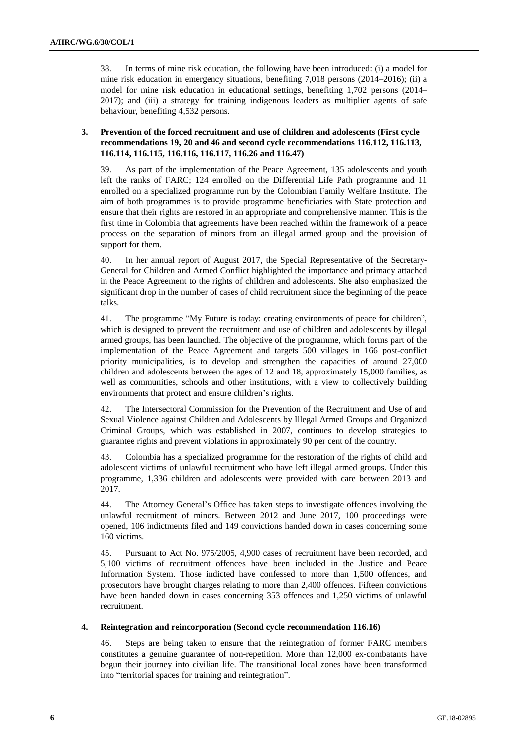38. In terms of mine risk education, the following have been introduced: (i) a model for mine risk education in emergency situations, benefiting 7,018 persons (2014–2016); (ii) a model for mine risk education in educational settings, benefiting 1,702 persons (2014– 2017); and (iii) a strategy for training indigenous leaders as multiplier agents of safe behaviour, benefiting 4,532 persons.

### **3. Prevention of the forced recruitment and use of children and adolescents (First cycle recommendations 19, 20 and 46 and second cycle recommendations 116.112, 116.113, 116.114, 116.115, 116.116, 116.117, 116.26 and 116.47)**

39. As part of the implementation of the Peace Agreement, 135 adolescents and youth left the ranks of FARC; 124 enrolled on the Differential Life Path programme and 11 enrolled on a specialized programme run by the Colombian Family Welfare Institute. The aim of both programmes is to provide programme beneficiaries with State protection and ensure that their rights are restored in an appropriate and comprehensive manner. This is the first time in Colombia that agreements have been reached within the framework of a peace process on the separation of minors from an illegal armed group and the provision of support for them.

40. In her annual report of August 2017, the Special Representative of the Secretary-General for Children and Armed Conflict highlighted the importance and primacy attached in the Peace Agreement to the rights of children and adolescents. She also emphasized the significant drop in the number of cases of child recruitment since the beginning of the peace talks.

41. The programme "My Future is today: creating environments of peace for children", which is designed to prevent the recruitment and use of children and adolescents by illegal armed groups, has been launched. The objective of the programme, which forms part of the implementation of the Peace Agreement and targets 500 villages in 166 post-conflict priority municipalities, is to develop and strengthen the capacities of around 27,000 children and adolescents between the ages of 12 and 18, approximately 15,000 families, as well as communities, schools and other institutions, with a view to collectively building environments that protect and ensure children's rights.

42. The Intersectoral Commission for the Prevention of the Recruitment and Use of and Sexual Violence against Children and Adolescents by Illegal Armed Groups and Organized Criminal Groups, which was established in 2007, continues to develop strategies to guarantee rights and prevent violations in approximately 90 per cent of the country.

43. Colombia has a specialized programme for the restoration of the rights of child and adolescent victims of unlawful recruitment who have left illegal armed groups. Under this programme, 1,336 children and adolescents were provided with care between 2013 and 2017.

44. The Attorney General's Office has taken steps to investigate offences involving the unlawful recruitment of minors. Between 2012 and June 2017, 100 proceedings were opened, 106 indictments filed and 149 convictions handed down in cases concerning some 160 victims.

45. Pursuant to Act No. 975/2005, 4,900 cases of recruitment have been recorded, and 5,100 victims of recruitment offences have been included in the Justice and Peace Information System. Those indicted have confessed to more than 1,500 offences, and prosecutors have brought charges relating to more than 2,400 offences. Fifteen convictions have been handed down in cases concerning 353 offences and 1,250 victims of unlawful recruitment.

### **4. Reintegration and reincorporation (Second cycle recommendation 116.16)**

46. Steps are being taken to ensure that the reintegration of former FARC members constitutes a genuine guarantee of non-repetition. More than 12,000 ex-combatants have begun their journey into civilian life. The transitional local zones have been transformed into "territorial spaces for training and reintegration".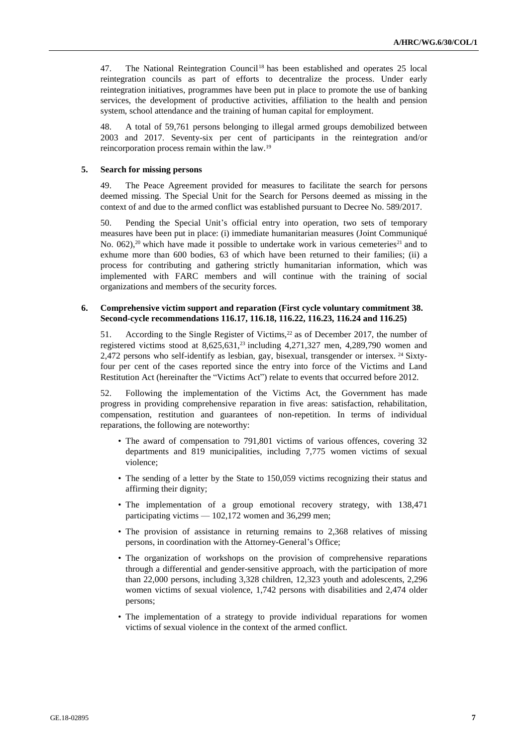47. The National Reintegration Council<sup>18</sup> has been established and operates 25 local reintegration councils as part of efforts to decentralize the process. Under early reintegration initiatives, programmes have been put in place to promote the use of banking services, the development of productive activities, affiliation to the health and pension system, school attendance and the training of human capital for employment.

48. A total of 59,761 persons belonging to illegal armed groups demobilized between 2003 and 2017. Seventy-six per cent of participants in the reintegration and/or reincorporation process remain within the law.<sup>19</sup>

#### **5. Search for missing persons**

49. The Peace Agreement provided for measures to facilitate the search for persons deemed missing. The Special Unit for the Search for Persons deemed as missing in the context of and due to the armed conflict was established pursuant to Decree No. 589/2017.

50. Pending the Special Unit's official entry into operation, two sets of temporary measures have been put in place: (i) immediate humanitarian measures (Joint Communiqué No.  $062$ ,<sup>20</sup> which have made it possible to undertake work in various cemeteries<sup>21</sup> and to exhume more than 600 bodies, 63 of which have been returned to their families; (ii) a process for contributing and gathering strictly humanitarian information, which was implemented with FARC members and will continue with the training of social organizations and members of the security forces.

#### **6. Comprehensive victim support and reparation (First cycle voluntary commitment 38. Second-cycle recommendations 116.17, 116.18, 116.22, 116.23, 116.24 and 116.25)**

51. According to the Single Register of Victims,<sup>22</sup> as of December 2017, the number of registered victims stood at  $8,625,631$ ,<sup>23</sup> including 4,271,327 men, 4,289,790 women and 2,472 persons who self-identify as lesbian, gay, bisexual, transgender or intersex. <sup>24</sup> Sixtyfour per cent of the cases reported since the entry into force of the Victims and Land Restitution Act (hereinafter the "Victims Act") relate to events that occurred before 2012.

52. Following the implementation of the Victims Act, the Government has made progress in providing comprehensive reparation in five areas: satisfaction, rehabilitation, compensation, restitution and guarantees of non-repetition. In terms of individual reparations, the following are noteworthy:

- The award of compensation to 791,801 victims of various offences, covering 32 departments and 819 municipalities, including 7,775 women victims of sexual violence;
- The sending of a letter by the State to 150,059 victims recognizing their status and affirming their dignity;
- The implementation of a group emotional recovery strategy, with 138,471 participating victims — 102,172 women and 36,299 men;
- The provision of assistance in returning remains to 2,368 relatives of missing persons, in coordination with the Attorney-General's Office;
- The organization of workshops on the provision of comprehensive reparations through a differential and gender-sensitive approach, with the participation of more than 22,000 persons, including 3,328 children, 12,323 youth and adolescents, 2,296 women victims of sexual violence, 1,742 persons with disabilities and 2,474 older persons;
- The implementation of a strategy to provide individual reparations for women victims of sexual violence in the context of the armed conflict.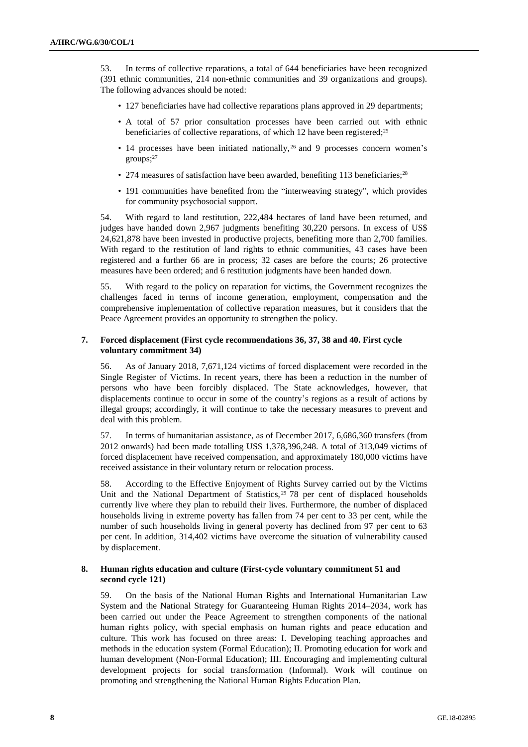53. In terms of collective reparations, a total of 644 beneficiaries have been recognized (391 ethnic communities, 214 non-ethnic communities and 39 organizations and groups). The following advances should be noted:

- 127 beneficiaries have had collective reparations plans approved in 29 departments;
- A total of 57 prior consultation processes have been carried out with ethnic beneficiaries of collective reparations, of which 12 have been registered;<sup>25</sup>
- $\cdot$  14 processes have been initiated nationally,  $^{26}$  and 9 processes concern women's groups;<sup>27</sup>
- 274 measures of satisfaction have been awarded, benefiting 113 beneficiaries;<sup>28</sup>
- 191 communities have benefited from the "interweaving strategy", which provides for community psychosocial support.

54. With regard to land restitution, 222,484 hectares of land have been returned, and judges have handed down 2,967 judgments benefiting 30,220 persons. In excess of US\$ 24,621,878 have been invested in productive projects, benefiting more than 2,700 families. With regard to the restitution of land rights to ethnic communities, 43 cases have been registered and a further 66 are in process; 32 cases are before the courts; 26 protective measures have been ordered; and 6 restitution judgments have been handed down.

55. With regard to the policy on reparation for victims, the Government recognizes the challenges faced in terms of income generation, employment, compensation and the comprehensive implementation of collective reparation measures, but it considers that the Peace Agreement provides an opportunity to strengthen the policy.

#### **7. Forced displacement (First cycle recommendations 36, 37, 38 and 40. First cycle voluntary commitment 34)**

56. As of January 2018, 7,671,124 victims of forced displacement were recorded in the Single Register of Victims. In recent years, there has been a reduction in the number of persons who have been forcibly displaced. The State acknowledges, however, that displacements continue to occur in some of the country's regions as a result of actions by illegal groups; accordingly, it will continue to take the necessary measures to prevent and deal with this problem.

57. In terms of humanitarian assistance, as of December 2017, 6,686,360 transfers (from 2012 onwards) had been made totalling US\$ 1,378,396,248. A total of 313,049 victims of forced displacement have received compensation, and approximately 180,000 victims have received assistance in their voluntary return or relocation process.

58. According to the Effective Enjoyment of Rights Survey carried out by the Victims Unit and the National Department of Statistics, <sup>29</sup> 78 per cent of displaced households currently live where they plan to rebuild their lives. Furthermore, the number of displaced households living in extreme poverty has fallen from 74 per cent to 33 per cent, while the number of such households living in general poverty has declined from 97 per cent to 63 per cent. In addition, 314,402 victims have overcome the situation of vulnerability caused by displacement.

### **8. Human rights education and culture (First-cycle voluntary commitment 51 and second cycle 121)**

59. On the basis of the National Human Rights and International Humanitarian Law System and the National Strategy for Guaranteeing Human Rights 2014–2034, work has been carried out under the Peace Agreement to strengthen components of the national human rights policy, with special emphasis on human rights and peace education and culture. This work has focused on three areas: I. Developing teaching approaches and methods in the education system (Formal Education); II. Promoting education for work and human development (Non-Formal Education); III. Encouraging and implementing cultural development projects for social transformation (Informal). Work will continue on promoting and strengthening the National Human Rights Education Plan.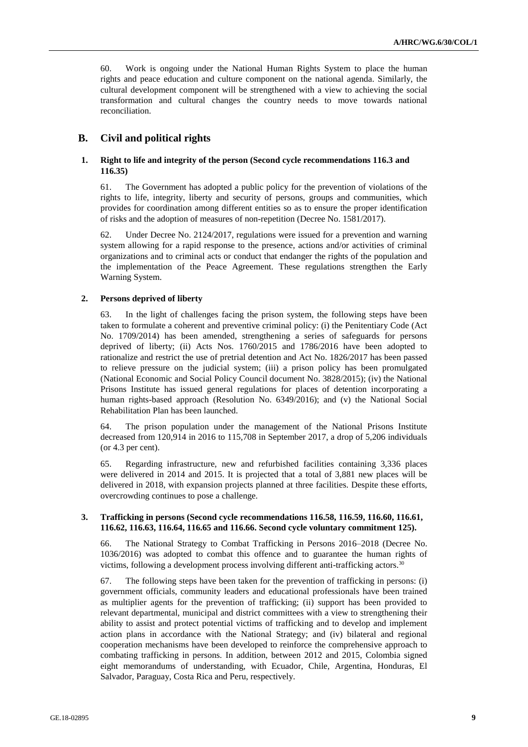60. Work is ongoing under the National Human Rights System to place the human rights and peace education and culture component on the national agenda. Similarly, the cultural development component will be strengthened with a view to achieving the social transformation and cultural changes the country needs to move towards national reconciliation.

## **B. Civil and political rights**

### **1. Right to life and integrity of the person (Second cycle recommendations 116.3 and 116.35)**

61. The Government has adopted a public policy for the prevention of violations of the rights to life, integrity, liberty and security of persons, groups and communities, which provides for coordination among different entities so as to ensure the proper identification of risks and the adoption of measures of non-repetition (Decree No. 1581/2017).

62. Under Decree No. 2124/2017, regulations were issued for a prevention and warning system allowing for a rapid response to the presence, actions and/or activities of criminal organizations and to criminal acts or conduct that endanger the rights of the population and the implementation of the Peace Agreement. These regulations strengthen the Early Warning System.

#### **2. Persons deprived of liberty**

63. In the light of challenges facing the prison system, the following steps have been taken to formulate a coherent and preventive criminal policy: (i) the Penitentiary Code (Act No. 1709/2014) has been amended, strengthening a series of safeguards for persons deprived of liberty; (ii) Acts Nos. 1760/2015 and 1786/2016 have been adopted to rationalize and restrict the use of pretrial detention and Act No. 1826/2017 has been passed to relieve pressure on the judicial system; (iii) a prison policy has been promulgated (National Economic and Social Policy Council document No. 3828/2015); (iv) the National Prisons Institute has issued general regulations for places of detention incorporating a human rights-based approach (Resolution No. 6349/2016); and (v) the National Social Rehabilitation Plan has been launched.

64. The prison population under the management of the National Prisons Institute decreased from 120,914 in 2016 to 115,708 in September 2017, a drop of 5,206 individuals (or 4.3 per cent).

65. Regarding infrastructure, new and refurbished facilities containing 3,336 places were delivered in 2014 and 2015. It is projected that a total of 3,881 new places will be delivered in 2018, with expansion projects planned at three facilities. Despite these efforts, overcrowding continues to pose a challenge.

#### **3. Trafficking in persons (Second cycle recommendations 116.58, 116.59, 116.60, 116.61, 116.62, 116.63, 116.64, 116.65 and 116.66. Second cycle voluntary commitment 125).**

66. The National Strategy to Combat Trafficking in Persons 2016–2018 (Decree No. 1036/2016) was adopted to combat this offence and to guarantee the human rights of victims, following a development process involving different anti-trafficking actors.<sup>30</sup>

67. The following steps have been taken for the prevention of trafficking in persons: (i) government officials, community leaders and educational professionals have been trained as multiplier agents for the prevention of trafficking; (ii) support has been provided to relevant departmental, municipal and district committees with a view to strengthening their ability to assist and protect potential victims of trafficking and to develop and implement action plans in accordance with the National Strategy; and (iv) bilateral and regional cooperation mechanisms have been developed to reinforce the comprehensive approach to combating trafficking in persons. In addition, between 2012 and 2015, Colombia signed eight memorandums of understanding, with Ecuador, Chile, Argentina, Honduras, El Salvador, Paraguay, Costa Rica and Peru, respectively.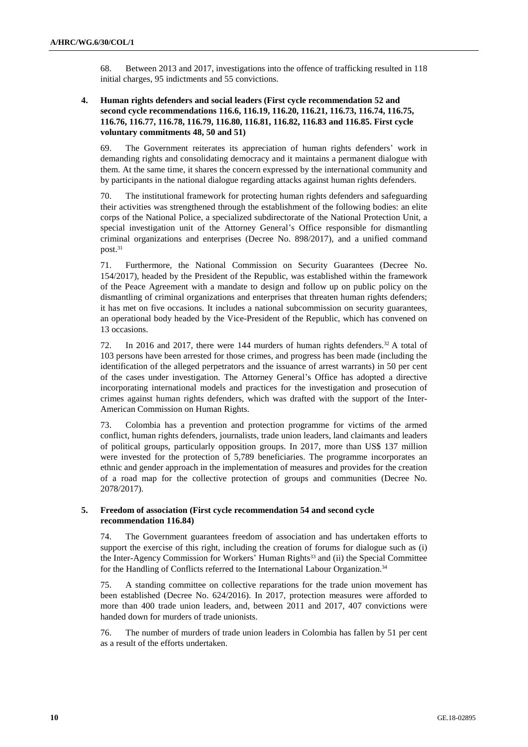68. Between 2013 and 2017, investigations into the offence of trafficking resulted in 118 initial charges, 95 indictments and 55 convictions.

### **4. Human rights defenders and social leaders (First cycle recommendation 52 and second cycle recommendations 116.6, 116.19, 116.20, 116.21, 116.73, 116.74, 116.75, 116.76, 116.77, 116.78, 116.79, 116.80, 116.81, 116.82, 116.83 and 116.85. First cycle voluntary commitments 48, 50 and 51)**

69. The Government reiterates its appreciation of human rights defenders' work in demanding rights and consolidating democracy and it maintains a permanent dialogue with them. At the same time, it shares the concern expressed by the international community and by participants in the national dialogue regarding attacks against human rights defenders.

70. The institutional framework for protecting human rights defenders and safeguarding their activities was strengthened through the establishment of the following bodies: an elite corps of the National Police, a specialized subdirectorate of the National Protection Unit, a special investigation unit of the Attorney General's Office responsible for dismantling criminal organizations and enterprises (Decree No. 898/2017), and a unified command post.<sup>31</sup>

71. Furthermore, the National Commission on Security Guarantees (Decree No. 154/2017), headed by the President of the Republic, was established within the framework of the Peace Agreement with a mandate to design and follow up on public policy on the dismantling of criminal organizations and enterprises that threaten human rights defenders; it has met on five occasions. It includes a national subcommission on security guarantees, an operational body headed by the Vice-President of the Republic, which has convened on 13 occasions.

72. In 2016 and 2017, there were 144 murders of human rights defenders.<sup>32</sup> A total of 103 persons have been arrested for those crimes, and progress has been made (including the identification of the alleged perpetrators and the issuance of arrest warrants) in 50 per cent of the cases under investigation. The Attorney General's Office has adopted a directive incorporating international models and practices for the investigation and prosecution of crimes against human rights defenders, which was drafted with the support of the Inter-American Commission on Human Rights.

73. Colombia has a prevention and protection programme for victims of the armed conflict, human rights defenders, journalists, trade union leaders, land claimants and leaders of political groups, particularly opposition groups. In 2017, more than US\$ 137 million were invested for the protection of 5,789 beneficiaries. The programme incorporates an ethnic and gender approach in the implementation of measures and provides for the creation of a road map for the collective protection of groups and communities (Decree No. 2078/2017).

### **5. Freedom of association (First cycle recommendation 54 and second cycle recommendation 116.84)**

74. The Government guarantees freedom of association and has undertaken efforts to support the exercise of this right, including the creation of forums for dialogue such as (i) the Inter-Agency Commission for Workers' Human Rights<sup>33</sup> and (ii) the Special Committee for the Handling of Conflicts referred to the International Labour Organization.<sup>34</sup>

75. A standing committee on collective reparations for the trade union movement has been established (Decree No. 624/2016). In 2017, protection measures were afforded to more than 400 trade union leaders, and, between 2011 and 2017, 407 convictions were handed down for murders of trade unionists.

76. The number of murders of trade union leaders in Colombia has fallen by 51 per cent as a result of the efforts undertaken.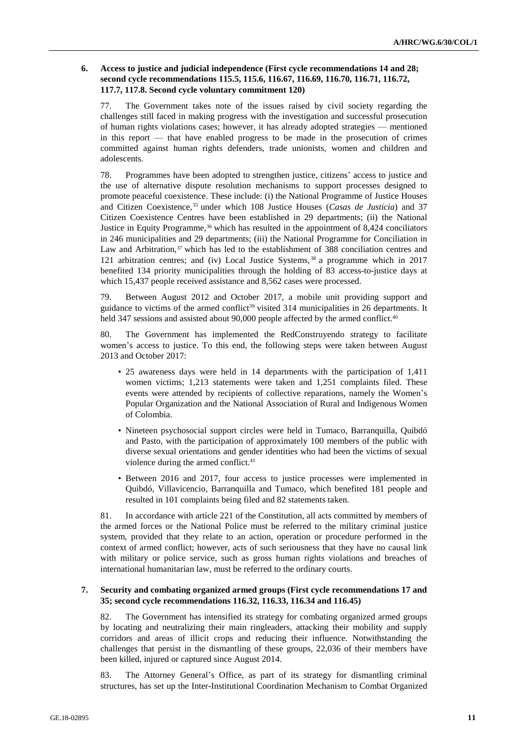### **6. Access to justice and judicial independence (First cycle recommendations 14 and 28; second cycle recommendations 115.5, 115.6, 116.67, 116.69, 116.70, 116.71, 116.72, 117.7, 117.8. Second cycle voluntary commitment 120)**

77. The Government takes note of the issues raised by civil society regarding the challenges still faced in making progress with the investigation and successful prosecution of human rights violations cases; however, it has already adopted strategies — mentioned in this report — that have enabled progress to be made in the prosecution of crimes committed against human rights defenders, trade unionists, women and children and adolescents.

78. Programmes have been adopted to strengthen justice, citizens' access to justice and the use of alternative dispute resolution mechanisms to support processes designed to promote peaceful coexistence. These include: (i) the National Programme of Justice Houses and Citizen Coexistence,<sup>35</sup> under which 108 Justice Houses (*Casas de Justicia*) and 37 Citizen Coexistence Centres have been established in 29 departments; (ii) the National Justice in Equity Programme,<sup>36</sup> which has resulted in the appointment of  $8,424$  conciliators in 246 municipalities and 29 departments; (iii) the National Programme for Conciliation in Law and Arbitration,<sup>37</sup> which has led to the establishment of 388 conciliation centres and 121 arbitration centres; and (iv) Local Justice Systems, <sup>38</sup> a programme which in 2017 benefited 134 priority municipalities through the holding of 83 access-to-justice days at which 15,437 people received assistance and 8,562 cases were processed.

79. Between August 2012 and October 2017, a mobile unit providing support and guidance to victims of the armed conflict<sup>39</sup> visited 314 municipalities in 26 departments. It held 347 sessions and assisted about 90,000 people affected by the armed conflict.<sup>40</sup>

80. The Government has implemented the RedConstruyendo strategy to facilitate women's access to justice. To this end, the following steps were taken between August 2013 and October 2017:

- 25 awareness days were held in 14 departments with the participation of 1,411 women victims; 1,213 statements were taken and 1,251 complaints filed. These events were attended by recipients of collective reparations, namely the Women's Popular Organization and the National Association of Rural and Indigenous Women of Colombia.
- Nineteen psychosocial support circles were held in Tumaco, Barranquilla, Quibdó and Pasto, with the participation of approximately 100 members of the public with diverse sexual orientations and gender identities who had been the victims of sexual violence during the armed conflict.<sup>41</sup>
- Between 2016 and 2017, four access to justice processes were implemented in Quibdó, Villavicencio, Barranquilla and Tumaco, which benefited 181 people and resulted in 101 complaints being filed and 82 statements taken.

81. In accordance with article 221 of the Constitution, all acts committed by members of the armed forces or the National Police must be referred to the military criminal justice system, provided that they relate to an action, operation or procedure performed in the context of armed conflict; however, acts of such seriousness that they have no causal link with military or police service, such as gross human rights violations and breaches of international humanitarian law, must be referred to the ordinary courts.

#### **7. Security and combating organized armed groups (First cycle recommendations 17 and 35; second cycle recommendations 116.32, 116.33, 116.34 and 116.45)**

82. The Government has intensified its strategy for combating organized armed groups by locating and neutralizing their main ringleaders, attacking their mobility and supply corridors and areas of illicit crops and reducing their influence. Notwithstanding the challenges that persist in the dismantling of these groups, 22,036 of their members have been killed, injured or captured since August 2014.

83. The Attorney General's Office, as part of its strategy for dismantling criminal structures, has set up the Inter-Institutional Coordination Mechanism to Combat Organized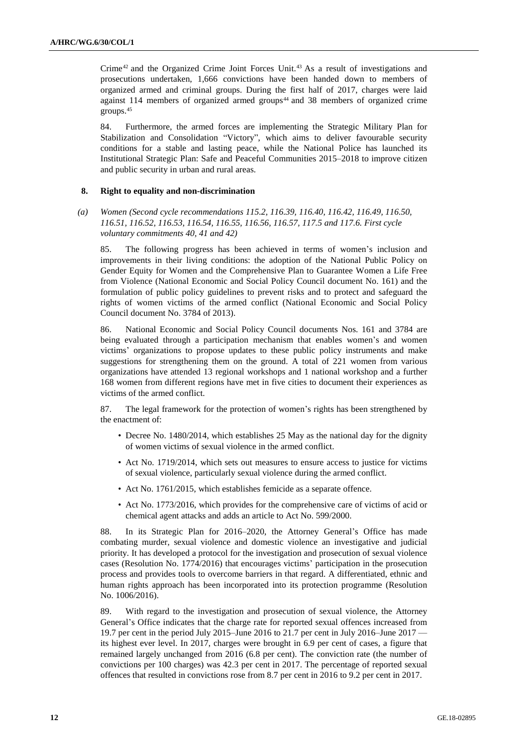Crime<sup>42</sup> and the Organized Crime Joint Forces Unit.<sup>43</sup> As a result of investigations and prosecutions undertaken, 1,666 convictions have been handed down to members of organized armed and criminal groups. During the first half of 2017, charges were laid against 114 members of organized armed groups<sup>44</sup> and 38 members of organized crime groups.<sup>45</sup>

84. Furthermore, the armed forces are implementing the Strategic Military Plan for Stabilization and Consolidation "Victory", which aims to deliver favourable security conditions for a stable and lasting peace, while the National Police has launched its Institutional Strategic Plan: Safe and Peaceful Communities 2015–2018 to improve citizen and public security in urban and rural areas.

#### **8. Right to equality and non-discrimination**

*(a) Women (Second cycle recommendations 115.2, 116.39, 116.40, 116.42, 116.49, 116.50, 116.51, 116.52, 116.53, 116.54, 116.55, 116.56, 116.57, 117.5 and 117.6. First cycle voluntary commitments 40, 41 and 42)*

85. The following progress has been achieved in terms of women's inclusion and improvements in their living conditions: the adoption of the National Public Policy on Gender Equity for Women and the Comprehensive Plan to Guarantee Women a Life Free from Violence (National Economic and Social Policy Council document No. 161) and the formulation of public policy guidelines to prevent risks and to protect and safeguard the rights of women victims of the armed conflict (National Economic and Social Policy Council document No. 3784 of 2013).

86. National Economic and Social Policy Council documents Nos. 161 and 3784 are being evaluated through a participation mechanism that enables women's and women victims' organizations to propose updates to these public policy instruments and make suggestions for strengthening them on the ground. A total of 221 women from various organizations have attended 13 regional workshops and 1 national workshop and a further 168 women from different regions have met in five cities to document their experiences as victims of the armed conflict.

87. The legal framework for the protection of women's rights has been strengthened by the enactment of:

- Decree No. 1480/2014, which establishes 25 May as the national day for the dignity of women victims of sexual violence in the armed conflict.
- Act No. 1719/2014, which sets out measures to ensure access to justice for victims of sexual violence, particularly sexual violence during the armed conflict.
- Act No. 1761/2015, which establishes femicide as a separate offence.
- Act No. 1773/2016, which provides for the comprehensive care of victims of acid or chemical agent attacks and adds an article to Act No. 599/2000.

88. In its Strategic Plan for 2016–2020, the Attorney General's Office has made combating murder, sexual violence and domestic violence an investigative and judicial priority. It has developed a protocol for the investigation and prosecution of sexual violence cases (Resolution No. 1774/2016) that encourages victims' participation in the prosecution process and provides tools to overcome barriers in that regard. A differentiated, ethnic and human rights approach has been incorporated into its protection programme (Resolution No. 1006/2016).

89. With regard to the investigation and prosecution of sexual violence, the Attorney General's Office indicates that the charge rate for reported sexual offences increased from 19.7 per cent in the period July 2015–June 2016 to 21.7 per cent in July 2016–June 2017 its highest ever level. In 2017, charges were brought in 6.9 per cent of cases, a figure that remained largely unchanged from 2016 (6.8 per cent). The conviction rate (the number of convictions per 100 charges) was 42.3 per cent in 2017. The percentage of reported sexual offences that resulted in convictions rose from 8.7 per cent in 2016 to 9.2 per cent in 2017.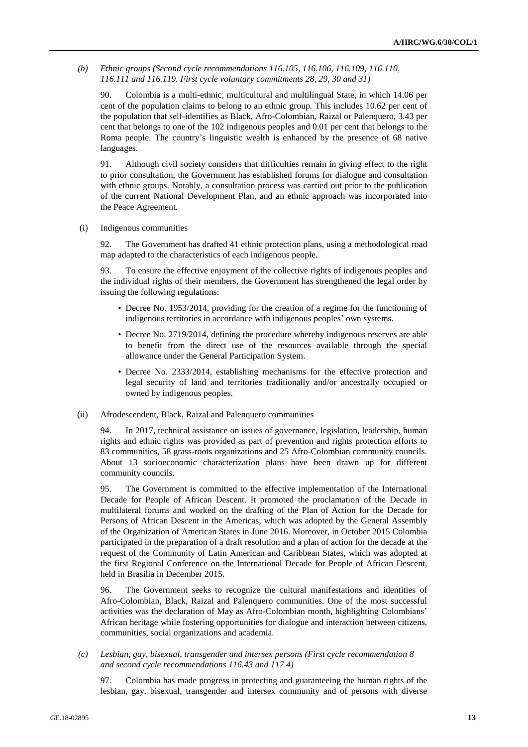*(b) Ethnic groups (Second cycle recommendations 116.105, 116.106, 116.109, 116.110, 116.111 and 116.119. First cycle voluntary commitments 28, 29, 30 and 31)*

90. Colombia is a multi-ethnic, multicultural and multilingual State, in which 14.06 per cent of the population claims to belong to an ethnic group. This includes 10.62 per cent of the population that self-identifies as Black, Afro-Colombian, Raizal or Palenquero, 3.43 per cent that belongs to one of the 102 indigenous peoples and 0.01 per cent that belongs to the Roma people. The country's linguistic wealth is enhanced by the presence of 68 native languages.

91. Although civil society considers that difficulties remain in giving effect to the right to prior consultation, the Government has established forums for dialogue and consultation with ethnic groups. Notably, a consultation process was carried out prior to the publication of the current National Development Plan, and an ethnic approach was incorporated into the Peace Agreement.

#### (i) Indigenous communities

92. The Government has drafted 41 ethnic protection plans, using a methodological road map adapted to the characteristics of each indigenous people.

93. To ensure the effective enjoyment of the collective rights of indigenous peoples and the individual rights of their members, the Government has strengthened the legal order by issuing the following regulations:

- Decree No. 1953/2014, providing for the creation of a regime for the functioning of indigenous territories in accordance with indigenous peoples' own systems.
- Decree No. 2719/2014, defining the procedure whereby indigenous reserves are able to benefit from the direct use of the resources available through the special allowance under the General Participation System.
- Decree No. 2333/2014, establishing mechanisms for the effective protection and legal security of land and territories traditionally and/or ancestrally occupied or owned by indigenous peoples.
- (ii) Afrodescendent, Black, Raizal and Palenquero communities

94. In 2017, technical assistance on issues of governance, legislation, leadership, human rights and ethnic rights was provided as part of prevention and rights protection efforts to 83 communities, 58 grass-roots organizations and 25 Afro-Colombian community councils. About 13 socioeconomic characterization plans have been drawn up for different community councils.

95. The Government is committed to the effective implementation of the International Decade for People of African Descent. It promoted the proclamation of the Decade in multilateral forums and worked on the drafting of the Plan of Action for the Decade for Persons of African Descent in the Americas, which was adopted by the General Assembly of the Organization of American States in June 2016. Moreover, in October 2015 Colombia participated in the preparation of a draft resolution and a plan of action for the decade at the request of the Community of Latin American and Caribbean States, which was adopted at the first Regional Conference on the International Decade for People of African Descent, held in Brasilia in December 2015.

96. The Government seeks to recognize the cultural manifestations and identities of Afro-Colombian, Black, Raizal and Palenquero communities. One of the most successful activities was the declaration of May as Afro-Colombian month, highlighting Colombians' African heritage while fostering opportunities for dialogue and interaction between citizens, communities, social organizations and academia.

*(c) Lesbian, gay, bisexual, transgender and intersex persons (First cycle recommendation 8 and second cycle recommendations 116.43 and 117.4)*

97. Colombia has made progress in protecting and guaranteeing the human rights of the lesbian, gay, bisexual, transgender and intersex community and of persons with diverse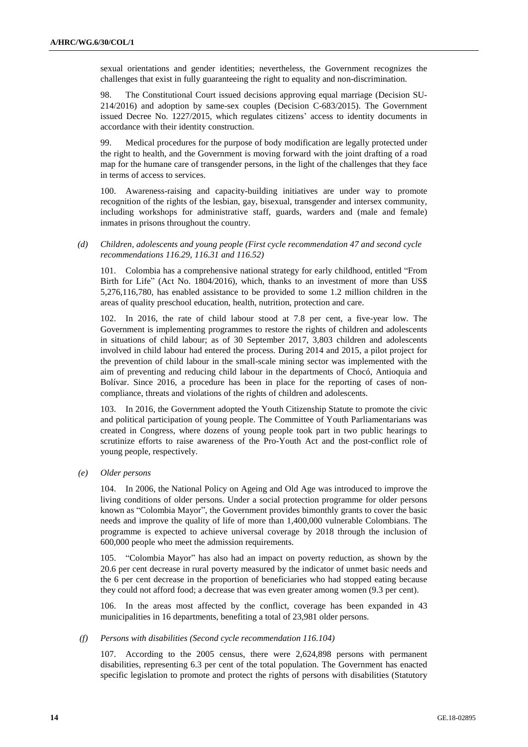sexual orientations and gender identities; nevertheless, the Government recognizes the challenges that exist in fully guaranteeing the right to equality and non-discrimination.

98. The Constitutional Court issued decisions approving equal marriage (Decision SU-214/2016) and adoption by same-sex couples (Decision C-683/2015). The Government issued Decree No. 1227/2015, which regulates citizens' access to identity documents in accordance with their identity construction.

99. Medical procedures for the purpose of body modification are legally protected under the right to health, and the Government is moving forward with the joint drafting of a road map for the humane care of transgender persons, in the light of the challenges that they face in terms of access to services.

100. Awareness-raising and capacity-building initiatives are under way to promote recognition of the rights of the lesbian, gay, bisexual, transgender and intersex community, including workshops for administrative staff, guards, warders and (male and female) inmates in prisons throughout the country.

*(d) Children, adolescents and young people (First cycle recommendation 47 and second cycle recommendations 116.29, 116.31 and 116.52)*

101. Colombia has a comprehensive national strategy for early childhood, entitled "From Birth for Life" (Act No. 1804/2016), which, thanks to an investment of more than US\$ 5,276,116,780, has enabled assistance to be provided to some 1.2 million children in the areas of quality preschool education, health, nutrition, protection and care.

102. In 2016, the rate of child labour stood at 7.8 per cent, a five-year low. The Government is implementing programmes to restore the rights of children and adolescents in situations of child labour; as of 30 September 2017, 3,803 children and adolescents involved in child labour had entered the process. During 2014 and 2015, a pilot project for the prevention of child labour in the small-scale mining sector was implemented with the aim of preventing and reducing child labour in the departments of Chocó, Antioquia and Bolívar. Since 2016, a procedure has been in place for the reporting of cases of noncompliance, threats and violations of the rights of children and adolescents.

103. In 2016, the Government adopted the Youth Citizenship Statute to promote the civic and political participation of young people. The Committee of Youth Parliamentarians was created in Congress, where dozens of young people took part in two public hearings to scrutinize efforts to raise awareness of the Pro-Youth Act and the post-conflict role of young people, respectively.

*(e) Older persons*

104. In 2006, the National Policy on Ageing and Old Age was introduced to improve the living conditions of older persons. Under a social protection programme for older persons known as "Colombia Mayor", the Government provides bimonthly grants to cover the basic needs and improve the quality of life of more than 1,400,000 vulnerable Colombians. The programme is expected to achieve universal coverage by 2018 through the inclusion of 600,000 people who meet the admission requirements.

105. "Colombia Mayor" has also had an impact on poverty reduction, as shown by the 20.6 per cent decrease in rural poverty measured by the indicator of unmet basic needs and the 6 per cent decrease in the proportion of beneficiaries who had stopped eating because they could not afford food; a decrease that was even greater among women (9.3 per cent).

106. In the areas most affected by the conflict, coverage has been expanded in 43 municipalities in 16 departments, benefiting a total of 23,981 older persons.

#### *(f) Persons with disabilities (Second cycle recommendation 116.104)*

107. According to the 2005 census, there were 2,624,898 persons with permanent disabilities, representing 6.3 per cent of the total population. The Government has enacted specific legislation to promote and protect the rights of persons with disabilities (Statutory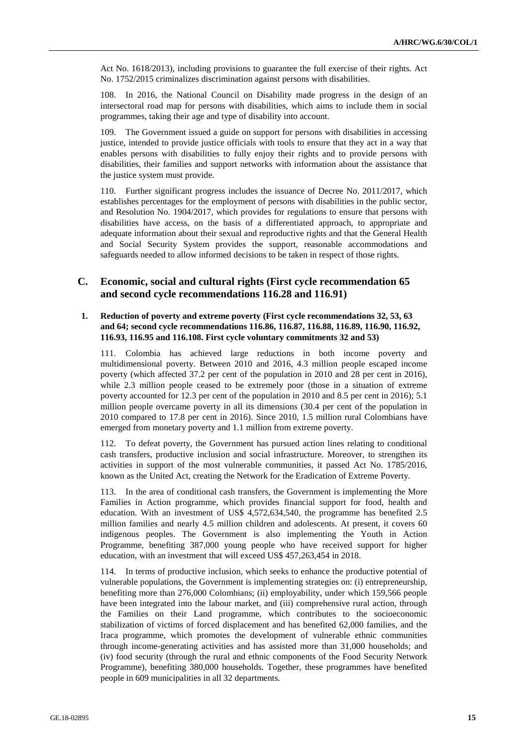Act No. 1618/2013), including provisions to guarantee the full exercise of their rights. Act No. 1752/2015 criminalizes discrimination against persons with disabilities.

108. In 2016, the National Council on Disability made progress in the design of an intersectoral road map for persons with disabilities, which aims to include them in social programmes, taking their age and type of disability into account.

109. The Government issued a guide on support for persons with disabilities in accessing justice, intended to provide justice officials with tools to ensure that they act in a way that enables persons with disabilities to fully enjoy their rights and to provide persons with disabilities, their families and support networks with information about the assistance that the justice system must provide.

110. Further significant progress includes the issuance of Decree No. 2011/2017, which establishes percentages for the employment of persons with disabilities in the public sector, and Resolution No. 1904/2017, which provides for regulations to ensure that persons with disabilities have access, on the basis of a differentiated approach, to appropriate and adequate information about their sexual and reproductive rights and that the General Health and Social Security System provides the support, reasonable accommodations and safeguards needed to allow informed decisions to be taken in respect of those rights.

## **C. Economic, social and cultural rights (First cycle recommendation 65 and second cycle recommendations 116.28 and 116.91)**

### **1. Reduction of poverty and extreme poverty (First cycle recommendations 32, 53, 63 and 64; second cycle recommendations 116.86, 116.87, 116.88, 116.89, 116.90, 116.92, 116.93, 116.95 and 116.108. First cycle voluntary commitments 32 and 53)**

111. Colombia has achieved large reductions in both income poverty and multidimensional poverty. Between 2010 and 2016, 4.3 million people escaped income poverty (which affected 37.2 per cent of the population in 2010 and 28 per cent in 2016), while 2.3 million people ceased to be extremely poor (those in a situation of extreme poverty accounted for 12.3 per cent of the population in 2010 and 8.5 per cent in 2016); 5.1 million people overcame poverty in all its dimensions (30.4 per cent of the population in 2010 compared to 17.8 per cent in 2016). Since 2010, 1.5 million rural Colombians have emerged from monetary poverty and 1.1 million from extreme poverty.

112. To defeat poverty, the Government has pursued action lines relating to conditional cash transfers, productive inclusion and social infrastructure. Moreover, to strengthen its activities in support of the most vulnerable communities, it passed Act No. 1785/2016, known as the United Act, creating the Network for the Eradication of Extreme Poverty.

113. In the area of conditional cash transfers, the Government is implementing the More Families in Action programme, which provides financial support for food, health and education. With an investment of US\$ 4,572,634,540, the programme has benefited 2.5 million families and nearly 4.5 million children and adolescents. At present, it covers 60 indigenous peoples. The Government is also implementing the Youth in Action Programme, benefiting 387,000 young people who have received support for higher education, with an investment that will exceed US\$ 457,263,454 in 2018.

114. In terms of productive inclusion, which seeks to enhance the productive potential of vulnerable populations, the Government is implementing strategies on: (i) entrepreneurship, benefiting more than 276,000 Colombians; (ii) employability, under which 159,566 people have been integrated into the labour market, and (iii) comprehensive rural action, through the Families on their Land programme, which contributes to the socioeconomic stabilization of victims of forced displacement and has benefited 62,000 families, and the Iraca programme, which promotes the development of vulnerable ethnic communities through income-generating activities and has assisted more than 31,000 households; and (iv) food security (through the rural and ethnic components of the Food Security Network Programme), benefiting 380,000 households. Together, these programmes have benefited people in 609 municipalities in all 32 departments.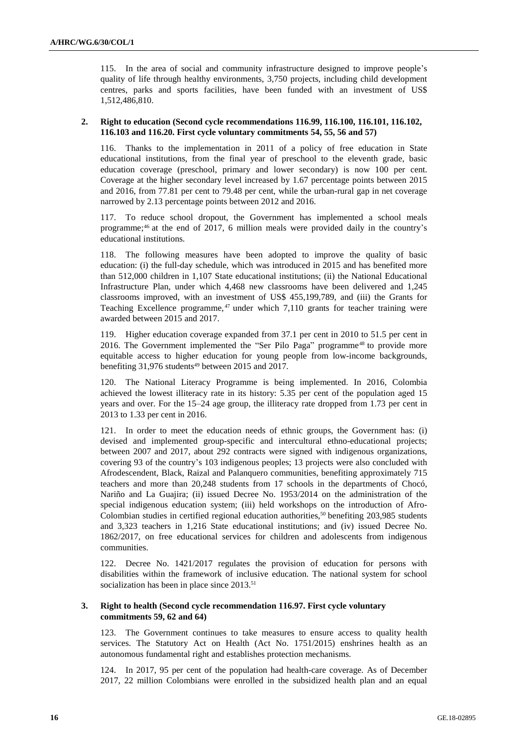115. In the area of social and community infrastructure designed to improve people's quality of life through healthy environments, 3,750 projects, including child development centres, parks and sports facilities, have been funded with an investment of US\$ 1,512,486,810.

#### **2. Right to education (Second cycle recommendations 116.99, 116.100, 116.101, 116.102, 116.103 and 116.20. First cycle voluntary commitments 54, 55, 56 and 57)**

116. Thanks to the implementation in 2011 of a policy of free education in State educational institutions, from the final year of preschool to the eleventh grade, basic education coverage (preschool, primary and lower secondary) is now 100 per cent. Coverage at the higher secondary level increased by 1.67 percentage points between 2015 and 2016, from 77.81 per cent to 79.48 per cent, while the urban-rural gap in net coverage narrowed by 2.13 percentage points between 2012 and 2016.

117. To reduce school dropout, the Government has implemented a school meals programme;<sup>46</sup> at the end of 2017, 6 million meals were provided daily in the country's educational institutions.

118. The following measures have been adopted to improve the quality of basic education: (i) the full-day schedule, which was introduced in 2015 and has benefited more than 512,000 children in 1,107 State educational institutions; (ii) the National Educational Infrastructure Plan, under which 4,468 new classrooms have been delivered and 1,245 classrooms improved, with an investment of US\$ 455,199,789, and (iii) the Grants for Teaching Excellence programme, <sup>47</sup> under which 7,110 grants for teacher training were awarded between 2015 and 2017.

119. Higher education coverage expanded from 37.1 per cent in 2010 to 51.5 per cent in 2016. The Government implemented the "Ser Pilo Paga" programme<sup>48</sup> to provide more equitable access to higher education for young people from low-income backgrounds, benefiting  $31,976$  students<sup>49</sup> between 2015 and 2017.

120. The National Literacy Programme is being implemented. In 2016, Colombia achieved the lowest illiteracy rate in its history: 5.35 per cent of the population aged 15 years and over. For the 15–24 age group, the illiteracy rate dropped from 1.73 per cent in 2013 to 1.33 per cent in 2016.

121. In order to meet the education needs of ethnic groups, the Government has: (i) devised and implemented group-specific and intercultural ethno-educational projects; between 2007 and 2017, about 292 contracts were signed with indigenous organizations, covering 93 of the country's 103 indigenous peoples; 13 projects were also concluded with Afrodescendent, Black, Raizal and Palanquero communities, benefiting approximately 715 teachers and more than 20,248 students from 17 schools in the departments of Chocó, Nariño and La Guajira; (ii) issued Decree No. 1953/2014 on the administration of the special indigenous education system; (iii) held workshops on the introduction of Afro-Colombian studies in certified regional education authorities,<sup>50</sup> benefiting 203,985 students and 3,323 teachers in 1,216 State educational institutions; and (iv) issued Decree No. 1862/2017, on free educational services for children and adolescents from indigenous communities.

122. Decree No. 1421/2017 regulates the provision of education for persons with disabilities within the framework of inclusive education. The national system for school socialization has been in place since 2013.<sup>51</sup>

#### **3. Right to health (Second cycle recommendation 116.97. First cycle voluntary commitments 59, 62 and 64)**

123. The Government continues to take measures to ensure access to quality health services. The Statutory Act on Health (Act No. 1751/2015) enshrines health as an autonomous fundamental right and establishes protection mechanisms.

124. In 2017, 95 per cent of the population had health-care coverage. As of December 2017, 22 million Colombians were enrolled in the subsidized health plan and an equal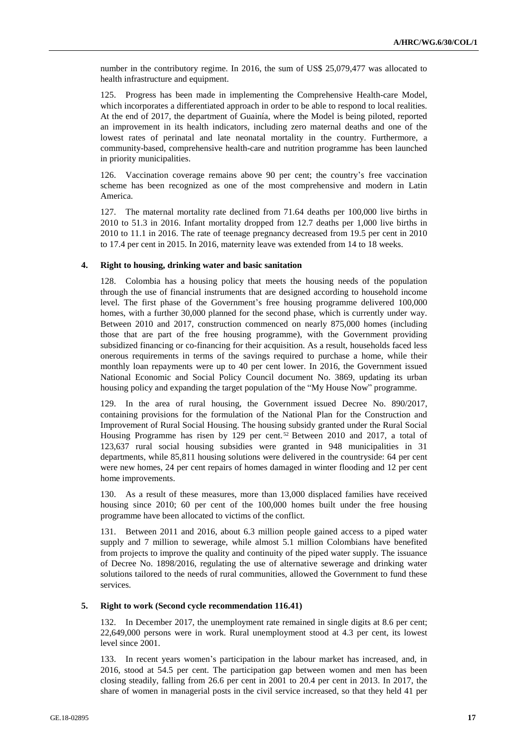number in the contributory regime. In 2016, the sum of US\$ 25,079,477 was allocated to health infrastructure and equipment.

125. Progress has been made in implementing the Comprehensive Health-care Model, which incorporates a differentiated approach in order to be able to respond to local realities. At the end of 2017, the department of Guainía, where the Model is being piloted, reported an improvement in its health indicators, including zero maternal deaths and one of the lowest rates of perinatal and late neonatal mortality in the country. Furthermore, a community-based, comprehensive health-care and nutrition programme has been launched in priority municipalities.

126. Vaccination coverage remains above 90 per cent; the country's free vaccination scheme has been recognized as one of the most comprehensive and modern in Latin America.

127. The maternal mortality rate declined from 71.64 deaths per 100,000 live births in 2010 to 51.3 in 2016. Infant mortality dropped from 12.7 deaths per 1,000 live births in 2010 to 11.1 in 2016. The rate of teenage pregnancy decreased from 19.5 per cent in 2010 to 17.4 per cent in 2015. In 2016, maternity leave was extended from 14 to 18 weeks.

### **4. Right to housing, drinking water and basic sanitation**

128. Colombia has a housing policy that meets the housing needs of the population through the use of financial instruments that are designed according to household income level. The first phase of the Government's free housing programme delivered 100,000 homes, with a further 30,000 planned for the second phase, which is currently under way. Between 2010 and 2017, construction commenced on nearly 875,000 homes (including those that are part of the free housing programme), with the Government providing subsidized financing or co-financing for their acquisition. As a result, households faced less onerous requirements in terms of the savings required to purchase a home, while their monthly loan repayments were up to 40 per cent lower. In 2016, the Government issued National Economic and Social Policy Council document No. 3869, updating its urban housing policy and expanding the target population of the "My House Now" programme.

129. In the area of rural housing, the Government issued Decree No. 890/2017, containing provisions for the formulation of the National Plan for the Construction and Improvement of Rural Social Housing. The housing subsidy granted under the Rural Social Housing Programme has risen by 129 per cent.<sup>52</sup> Between 2010 and 2017, a total of 123,637 rural social housing subsidies were granted in 948 municipalities in 31 departments, while 85,811 housing solutions were delivered in the countryside: 64 per cent were new homes, 24 per cent repairs of homes damaged in winter flooding and 12 per cent home improvements.

130. As a result of these measures, more than 13,000 displaced families have received housing since 2010; 60 per cent of the 100,000 homes built under the free housing programme have been allocated to victims of the conflict.

131. Between 2011 and 2016, about 6.3 million people gained access to a piped water supply and 7 million to sewerage, while almost 5.1 million Colombians have benefited from projects to improve the quality and continuity of the piped water supply. The issuance of Decree No. 1898/2016, regulating the use of alternative sewerage and drinking water solutions tailored to the needs of rural communities, allowed the Government to fund these services.

### **5. Right to work (Second cycle recommendation 116.41)**

132. In December 2017, the unemployment rate remained in single digits at 8.6 per cent; 22,649,000 persons were in work. Rural unemployment stood at 4.3 per cent, its lowest level since 2001.

133. In recent years women's participation in the labour market has increased, and, in 2016, stood at 54.5 per cent. The participation gap between women and men has been closing steadily, falling from 26.6 per cent in 2001 to 20.4 per cent in 2013. In 2017, the share of women in managerial posts in the civil service increased, so that they held 41 per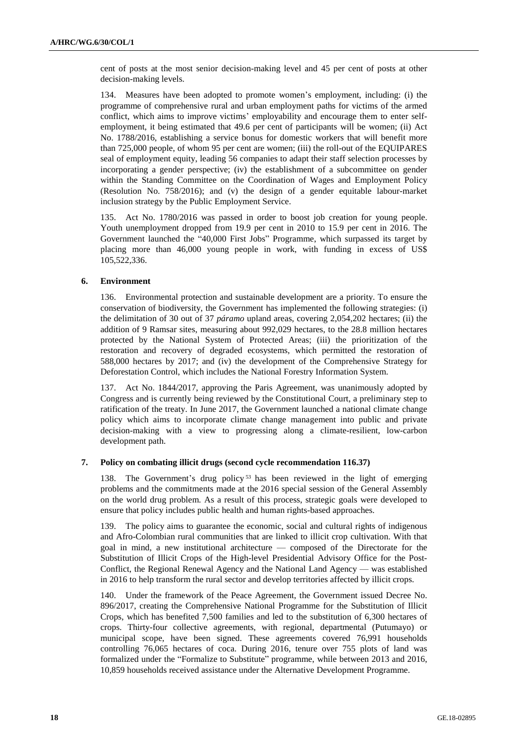cent of posts at the most senior decision-making level and 45 per cent of posts at other decision-making levels.

134. Measures have been adopted to promote women's employment, including: (i) the programme of comprehensive rural and urban employment paths for victims of the armed conflict, which aims to improve victims' employability and encourage them to enter selfemployment, it being estimated that 49.6 per cent of participants will be women; (ii) Act No. 1788/2016, establishing a service bonus for domestic workers that will benefit more than 725,000 people, of whom 95 per cent are women; (iii) the roll-out of the EQUIPARES seal of employment equity, leading 56 companies to adapt their staff selection processes by incorporating a gender perspective; (iv) the establishment of a subcommittee on gender within the Standing Committee on the Coordination of Wages and Employment Policy (Resolution No. 758/2016); and (v) the design of a gender equitable labour-market inclusion strategy by the Public Employment Service.

135. Act No. 1780/2016 was passed in order to boost job creation for young people. Youth unemployment dropped from 19.9 per cent in 2010 to 15.9 per cent in 2016. The Government launched the "40,000 First Jobs" Programme, which surpassed its target by placing more than 46,000 young people in work, with funding in excess of US\$ 105,522,336.

#### **6. Environment**

136. Environmental protection and sustainable development are a priority. To ensure the conservation of biodiversity, the Government has implemented the following strategies: (i) the delimitation of 30 out of 37 *páramo* upland areas, covering 2,054,202 hectares; (ii) the addition of 9 Ramsar sites, measuring about 992,029 hectares, to the 28.8 million hectares protected by the National System of Protected Areas; (iii) the prioritization of the restoration and recovery of degraded ecosystems, which permitted the restoration of 588,000 hectares by 2017; and (iv) the development of the Comprehensive Strategy for Deforestation Control, which includes the National Forestry Information System.

137. Act No. 1844/2017, approving the Paris Agreement, was unanimously adopted by Congress and is currently being reviewed by the Constitutional Court, a preliminary step to ratification of the treaty. In June 2017, the Government launched a national climate change policy which aims to incorporate climate change management into public and private decision-making with a view to progressing along a climate-resilient, low-carbon development path.

# **7. Policy on combating illicit drugs (second cycle recommendation 116.37)**

138. The Government's drug policy <sup>53</sup> has been reviewed in the light of emerging problems and the commitments made at the 2016 special session of the General Assembly on the world drug problem. As a result of this process, strategic goals were developed to ensure that policy includes public health and human rights-based approaches.

139. The policy aims to guarantee the economic, social and cultural rights of indigenous and Afro-Colombian rural communities that are linked to illicit crop cultivation. With that goal in mind, a new institutional architecture — composed of the Directorate for the Substitution of Illicit Crops of the High-level Presidential Advisory Office for the Post-Conflict, the Regional Renewal Agency and the National Land Agency — was established in 2016 to help transform the rural sector and develop territories affected by illicit crops.

140. Under the framework of the Peace Agreement, the Government issued Decree No. 896/2017, creating the Comprehensive National Programme for the Substitution of Illicit Crops, which has benefited 7,500 families and led to the substitution of 6,300 hectares of crops. Thirty-four collective agreements, with regional, departmental (Putumayo) or municipal scope, have been signed. These agreements covered 76,991 households controlling 76,065 hectares of coca. During 2016, tenure over 755 plots of land was formalized under the "Formalize to Substitute" programme, while between 2013 and 2016, 10,859 households received assistance under the Alternative Development Programme.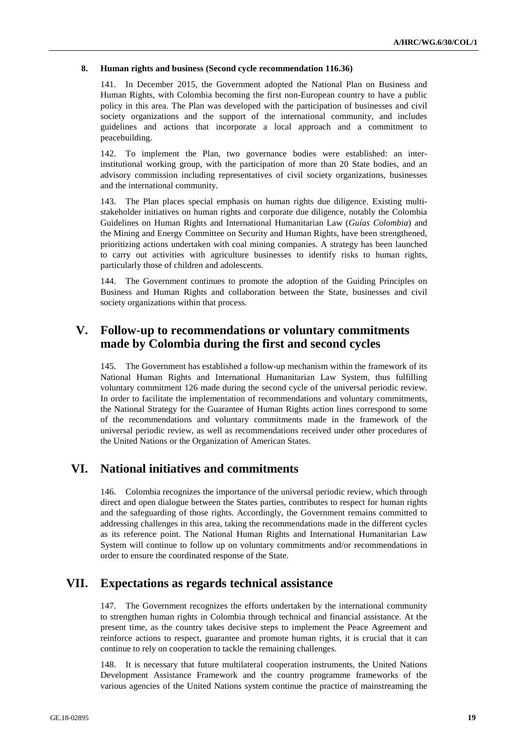### **8. Human rights and business (Second cycle recommendation 116.36)**

141. In December 2015, the Government adopted the National Plan on Business and Human Rights, with Colombia becoming the first non-European country to have a public policy in this area. The Plan was developed with the participation of businesses and civil society organizations and the support of the international community, and includes guidelines and actions that incorporate a local approach and a commitment to peacebuilding.

142. To implement the Plan, two governance bodies were established: an interinstitutional working group, with the participation of more than 20 State bodies, and an advisory commission including representatives of civil society organizations, businesses and the international community.

143. The Plan places special emphasis on human rights due diligence. Existing multistakeholder initiatives on human rights and corporate due diligence, notably the Colombia Guidelines on Human Rights and International Humanitarian Law (*Guías Colombia*) and the Mining and Energy Committee on Security and Human Rights, have been strengthened, prioritizing actions undertaken with coal mining companies. A strategy has been launched to carry out activities with agriculture businesses to identify risks to human rights, particularly those of children and adolescents.

144. The Government continues to promote the adoption of the Guiding Principles on Business and Human Rights and collaboration between the State, businesses and civil society organizations within that process.

# **V. Follow-up to recommendations or voluntary commitments made by Colombia during the first and second cycles**

145. The Government has established a follow-up mechanism within the framework of its National Human Rights and International Humanitarian Law System, thus fulfilling voluntary commitment 126 made during the second cycle of the universal periodic review. In order to facilitate the implementation of recommendations and voluntary commitments, the National Strategy for the Guarantee of Human Rights action lines correspond to some of the recommendations and voluntary commitments made in the framework of the universal periodic review, as well as recommendations received under other procedures of the United Nations or the Organization of American States.

# **VI. National initiatives and commitments**

146. Colombia recognizes the importance of the universal periodic review, which through direct and open dialogue between the States parties, contributes to respect for human rights and the safeguarding of those rights. Accordingly, the Government remains committed to addressing challenges in this area, taking the recommendations made in the different cycles as its reference point. The National Human Rights and International Humanitarian Law System will continue to follow up on voluntary commitments and/or recommendations in order to ensure the coordinated response of the State.

# **VII. Expectations as regards technical assistance**

147. The Government recognizes the efforts undertaken by the international community to strengthen human rights in Colombia through technical and financial assistance. At the present time, as the country takes decisive steps to implement the Peace Agreement and reinforce actions to respect, guarantee and promote human rights, it is crucial that it can continue to rely on cooperation to tackle the remaining challenges.

148. It is necessary that future multilateral cooperation instruments, the United Nations Development Assistance Framework and the country programme frameworks of the various agencies of the United Nations system continue the practice of mainstreaming the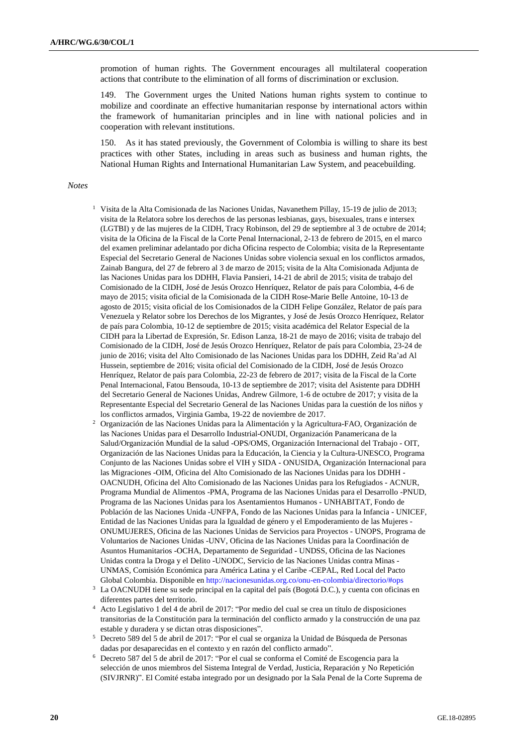promotion of human rights. The Government encourages all multilateral cooperation actions that contribute to the elimination of all forms of discrimination or exclusion.

149. The Government urges the United Nations human rights system to continue to mobilize and coordinate an effective humanitarian response by international actors within the framework of humanitarian principles and in line with national policies and in cooperation with relevant institutions.

150. As it has stated previously, the Government of Colombia is willing to share its best practices with other States, including in areas such as business and human rights, the National Human Rights and International Humanitarian Law System, and peacebuilding.

#### *Notes*

- <sup>1</sup> Visita de la Alta Comisionada de las Naciones Unidas, Navanethem Pillay, 15-19 de julio de 2013; visita de la Relatora sobre los derechos de las personas lesbianas, gays, bisexuales, trans e intersex (LGTBI) y de las mujeres de la CIDH, Tracy Robinson, del 29 de septiembre al 3 de octubre de 2014; visita de la Oficina de la Fiscal de la Corte Penal Internacional, 2-13 de febrero de 2015, en el marco del examen preliminar adelantado por dicha Oficina respecto de Colombia; visita de la Representante Especial del Secretario General de Naciones Unidas sobre violencia sexual en los conflictos armados, Zainab Bangura, del 27 de febrero al 3 de marzo de 2015; visita de la Alta Comisionada Adjunta de las Naciones Unidas para los DDHH, Flavia Pansieri, 14-21 de abril de 2015; visita de trabajo del Comisionado de la CIDH, José de Jesús Orozco Henríquez, Relator de país para Colombia, 4-6 de mayo de 2015; visita oficial de la Comisionada de la CIDH Rose-Marie Belle Antoine, 10-13 de agosto de 2015; visita oficial de los Comisionados de la CIDH Felipe González, Relator de país para Venezuela y Relator sobre los Derechos de los Migrantes, y José de Jesús Orozco Henríquez, Relator de país para Colombia, 10-12 de septiembre de 2015; visita académica del Relator Especial de la CIDH para la Libertad de Expresión, Sr. Edison Lanza, 18-21 de mayo de 2016; visita de trabajo del Comisionado de la CIDH, José de Jesús Orozco Henríquez, Relator de país para Colombia, 23-24 de junio de 2016; visita del Alto Comisionado de las Naciones Unidas para los DDHH, Zeid Ra'ad Al Hussein, septiembre de 2016; visita oficial del Comisionado de la CIDH, José de Jesús Orozco Henríquez, Relator de país para Colombia, 22-23 de febrero de 2017; visita de la Fiscal de la Corte Penal Internacional, Fatou Bensouda, 10-13 de septiembre de 2017; visita del Asistente para DDHH del Secretario General de Naciones Unidas, Andrew Gilmore, 1-6 de octubre de 2017; y visita de la Representante Especial del Secretario General de las Naciones Unidas para la cuestión de los niños y los conflictos armados, Virginia Gamba, 19-22 de noviembre de 2017.
- <sup>2</sup> Organización de las Naciones Unidas para la Alimentación y la Agricultura-FAO, Organización de las Naciones Unidas para el Desarrollo Industrial-ONUDI, Organización Panamericana de la Salud/Organización Mundial de la salud -OPS/OMS, Organización Internacional del Trabajo - OIT, Organización de las Naciones Unidas para la Educación, la Ciencia y la Cultura-UNESCO, Programa Conjunto de las Naciones Unidas sobre el VIH y SIDA - ONUSIDA, Organización Internacional para las Migraciones -OIM, Oficina del Alto Comisionado de las Naciones Unidas para los DDHH - OACNUDH, Oficina del Alto Comisionado de las Naciones Unidas para los Refugiados - ACNUR, Programa Mundial de Alimentos -PMA, Programa de las Naciones Unidas para el Desarrollo -PNUD, Programa de las Naciones Unidas para los Asentamientos Humanos - UNHABITAT, Fondo de Población de las Naciones Unida -UNFPA, Fondo de las Naciones Unidas para la Infancia - UNICEF, Entidad de las Naciones Unidas para la Igualdad de género y el Empoderamiento de las Mujeres - ONUMUJERES, Oficina de las Naciones Unidas de Servicios para Proyectos - UNOPS, Programa de Voluntarios de Naciones Unidas -UNV, Oficina de las Naciones Unidas para la Coordinación de Asuntos Humanitarios -OCHA, Departamento de Seguridad - UNDSS, Oficina de las Naciones Unidas contra la Droga y el Delito -UNODC, Servicio de las Naciones Unidas contra Minas - UNMAS, Comisión Económica para América Latina y el Caribe -CEPAL, Red Local del Pacto Global Colombia. Disponible en <http://nacionesunidas.org.co/onu-en-colombia/directorio/#ops>
- <sup>3</sup> La OACNUDH tiene su sede principal en la capital del país (Bogotá D.C.), y cuenta con oficinas en diferentes partes del territorio.
- <sup>4</sup> Acto Legislativo 1 del 4 de abril de 2017: "Por medio del cual se crea un título de disposiciones transitorias de la Constitución para la terminación del conflicto armado y la construcción de una paz estable y duradera y se dictan otras disposiciones".
- <sup>5</sup> Decreto 589 del 5 de abril de 2017: "Por el cual se organiza la Unidad de Búsqueda de Personas dadas por desaparecidas en el contexto y en razón del conflicto armado".
- <sup>6</sup> Decreto 587 del 5 de abril de 2017: "Por el cual se conforma el Comité de Escogencia para la selección de unos miembros del Sistema Integral de Verdad, Justicia, Reparación y No Repetición (SIVJRNR)". El Comité estaba integrado por un designado por la Sala Penal de la Corte Suprema de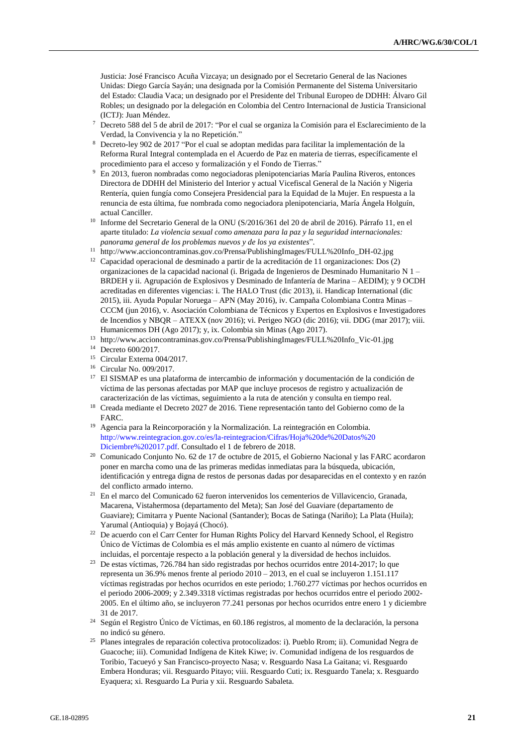Justicia: José Francisco Acuña Vizcaya; un designado por el Secretario General de las Naciones Unidas: Diego García Sayán; una designada por la Comisión Permanente del Sistema Universitario del Estado: Claudia Vaca; un designado por el Presidente del Tribunal Europeo de DDHH: Álvaro Gil Robles; un designado por la delegación en Colombia del Centro Internacional de Justicia Transicional (ICTJ): Juan Méndez.

- <sup>7</sup> Decreto 588 del 5 de abril de 2017: "Por el cual se organiza la Comisión para el Esclarecimiento de la Verdad, la Convivencia y la no Repetición."
- <sup>8</sup> Decreto-ley 902 de 2017 "Por el cual se adoptan medidas para facilitar la implementación de la Reforma Rural Integral contemplada en el Acuerdo de Paz en materia de tierras, específicamente el procedimiento para el acceso y formalización y el Fondo de Tierras."
- <sup>9</sup> En 2013, fueron nombradas como negociadoras plenipotenciarias María Paulina Riveros, entonces Directora de DDHH del Ministerio del Interior y actual Vicefiscal General de la Nación y Nigeria Rentería, quien fungía como Consejera Presidencial para la Equidad de la Mujer. En respuesta a la renuncia de esta última, fue nombrada como negociadora plenipotenciaria, María Ángela Holguín, actual Canciller.
- <sup>10</sup> Informe del Secretario General de la ONU (S/2016/361 del 20 de abril de 2016). Párrafo 11, en el aparte titulado: *La violencia sexual como amenaza para la paz y la seguridad internacionales: panorama general de los problemas nuevos y de los ya existentes*".
- <sup>11</sup> http://www.accioncontraminas.gov.co/Prensa/PublishingImages/FULL%20Info\_DH-02.jpg
- $12$  Capacidad operacional de desminado a partir de la acreditación de 11 organizaciones: Dos (2) organizaciones de la capacidad nacional (i. Brigada de Ingenieros de Desminado Humanitario N 1 – BRDEH y ii. Agrupación de Explosivos y Desminado de Infantería de Marina – AEDIM); y 9 OCDH acreditadas en diferentes vigencias: i. The HALO Trust (dic 2013), ii. Handicap International (dic 2015), iii. Ayuda Popular Noruega – APN (May 2016), iv. Campaña Colombiana Contra Minas – CCCM (jun 2016), v. Asociación Colombiana de Técnicos y Expertos en Explosivos e Investigadores de Incendios y NBQR – ATEXX (nov 2016); vi. Perigeo NGO (dic 2016); vii. DDG (mar 2017); viii. Humanicemos DH (Ago 2017); y, ix. Colombia sin Minas (Ago 2017).
- <sup>13</sup> http://www.accioncontraminas.gov.co/Prensa/PublishingImages/FULL%20Info\_Vic-01.jpg
- <sup>14</sup> Decreto 600/2017.
- <sup>15</sup> Circular Externa 004/2017.
- <sup>16</sup> Circular No. 009/2017.
- <sup>17</sup> El SISMAP es una plataforma de intercambio de información y documentación de la condición de víctima de las personas afectadas por MAP que incluye procesos de registro y actualización de caracterización de las víctimas, seguimiento a la ruta de atención y consulta en tiempo real.
- <sup>18</sup> Creada mediante el Decreto 2027 de 2016. Tiene representación tanto del Gobierno como de la FARC.
- <sup>19</sup> Agencia para la Reincorporación y la Normalización. La reintegración en Colombia. [http://www.reintegracion.gov.co/es/la-reintegracion/Cifras/Hoja%20de%20Datos%20](http://www.reintegracion.gov.co/es/la-reintegracion/Cifras/Hoja%20de%20Datos%20Diciembre%202017.pdf) [Diciembre%202017.pdf.](http://www.reintegracion.gov.co/es/la-reintegracion/Cifras/Hoja%20de%20Datos%20Diciembre%202017.pdf) Consultado el 1 de febrero de 2018.
- <sup>20</sup> Comunicado Conjunto No. 62 de 17 de octubre de 2015, el Gobierno Nacional y las FARC acordaron poner en marcha como una de las primeras medidas inmediatas para la búsqueda, ubicación, identificación y entrega digna de restos de personas dadas por desaparecidas en el contexto y en razón del conflicto armado interno.
- <sup>21</sup> En el marco del Comunicado 62 fueron intervenidos los cementerios de Villavicencio, Granada, Macarena, Vistahermosa (departamento del Meta); San José del Guaviare (departamento de Guaviare); Cimitarra y Puente Nacional (Santander); Bocas de Satinga (Nariño); La Plata (Huila); Yarumal (Antioquia) y Bojayá (Chocó).
- <sup>22</sup> De acuerdo con el Carr Center for Human Rights Policy del Harvard Kennedy School, el Registro Único de Víctimas de Colombia es el más amplio existente en cuanto al número de víctimas incluidas, el porcentaje respecto a la población general y la diversidad de hechos incluidos.
- <sup>23</sup> De estas víctimas, 726.784 han sido registradas por hechos ocurridos entre 2014-2017; lo que representa un 36.9% menos frente al periodo 2010 – 2013, en el cual se incluyeron 1.151.117 víctimas registradas por hechos ocurridos en este periodo; 1.760.277 víctimas por hechos ocurridos en el periodo 2006-2009; y 2.349.3318 víctimas registradas por hechos ocurridos entre el periodo 2002- 2005. En el último año, se incluyeron 77.241 personas por hechos ocurridos entre enero 1 y diciembre 31 de 2017.
- <sup>24</sup> Según el Registro Único de Víctimas, en 60.186 registros, al momento de la declaración, la persona no indicó su género.
- <sup>25</sup> Planes integrales de reparación colectiva protocolizados: i). Pueblo Rrom; ii). Comunidad Negra de Guacoche; iii). Comunidad Indígena de Kitek Kiwe; iv. Comunidad indígena de los resguardos de Toribio, Tacueyó y San Francisco-proyecto Nasa; v. Resguardo Nasa La Gaitana; vi. Resguardo Embera Honduras; vii. Resguardo Pitayo; viii. Resguardo Cuti; ix. Resguardo Tanela; x. Resguardo Eyaquera; xi. Resguardo La Puria y xii. Resguardo Sabaleta.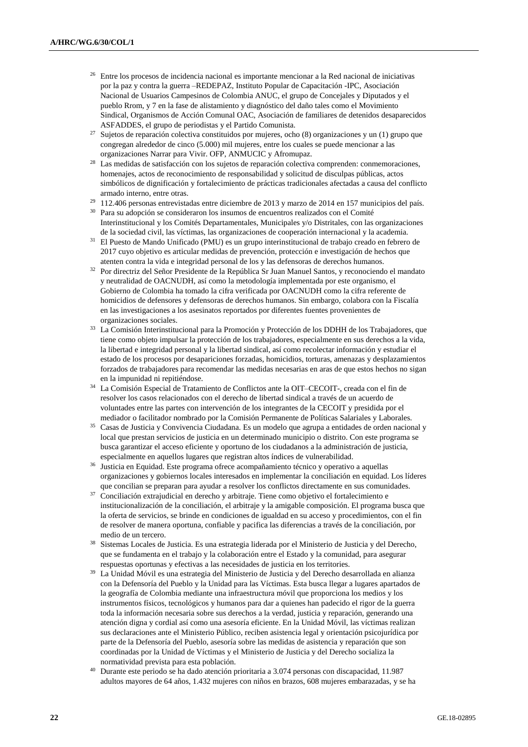- <sup>26</sup> Entre los procesos de incidencia nacional es importante mencionar a la Red nacional de iniciativas por la paz y contra la guerra –REDEPAZ, Instituto Popular de Capacitación -IPC, Asociación Nacional de Usuarios Campesinos de Colombia ANUC, el grupo de Concejales y Diputados y el pueblo Rrom, y 7 en la fase de alistamiento y diagnóstico del daño tales como el Movimiento Sindical, Organismos de Acción Comunal OAC, Asociación de familiares de detenidos desaparecidos ASFADDES, el grupo de periodistas y el Partido Comunista.
- <sup>27</sup> Sujetos de reparación colectiva constituidos por mujeres, ocho (8) organizaciones y un (1) grupo que congregan alrededor de cinco (5.000) mil mujeres, entre los cuales se puede mencionar a las organizaciones Narrar para Vivir. OFP, ANMUCIC y Afromupaz.
- <sup>28</sup> Las medidas de satisfacción con los sujetos de reparación colectiva comprenden: conmemoraciones, homenajes, actos de reconocimiento de responsabilidad y solicitud de disculpas públicas, actos simbólicos de dignificación y fortalecimiento de prácticas tradicionales afectadas a causa del conflicto armado interno, entre otras.
- <sup>29</sup> 112.406 personas entrevistadas entre diciembre de 2013 y marzo de 2014 en 157 municipios del país.
- <sup>30</sup> Para su adopción se consideraron los insumos de encuentros realizados con el Comité Interinstitucional y los Comités Departamentales, Municipales y/o Distritales, con las organizaciones de la sociedad civil, las víctimas, las organizaciones de cooperación internacional y la academia.
- <sup>31</sup> El Puesto de Mando Unificado (PMU) es un grupo interinstitucional de trabajo creado en febrero de 2017 cuyo objetivo es articular medidas de prevención, protección e investigación de hechos que atenten contra la vida e integridad personal de los y las defensoras de derechos humanos.
- <sup>32</sup> Por directriz del Señor Presidente de la República Sr Juan Manuel Santos, y reconociendo el mandato y neutralidad de OACNUDH, así como la metodología implementada por este organismo, el Gobierno de Colombia ha tomado la cifra verificada por OACNUDH como la cifra referente de homicidios de defensores y defensoras de derechos humanos. Sin embargo, colabora con la Fiscalía en las investigaciones a los asesinatos reportados por diferentes fuentes provenientes de organizaciones sociales.
- <sup>33</sup> La Comisión Interinstitucional para la Promoción y Protección de los DDHH de los Trabajadores, que tiene como objeto impulsar la protección de los trabajadores, especialmente en sus derechos a la vida, la libertad e integridad personal y la libertad sindical, así como recolectar información y estudiar el estado de los procesos por desapariciones forzadas, homicidios, torturas, amenazas y desplazamientos forzados de trabajadores para recomendar las medidas necesarias en aras de que estos hechos no sigan en la impunidad ni repitiéndose.
- <sup>34</sup> La Comisión Especial de Tratamiento de Conflictos ante la OIT–CECOIT-, creada con el fin de resolver los casos relacionados con el derecho de libertad sindical a través de un acuerdo de voluntades entre las partes con intervención de los integrantes de la CECOIT y presidida por el mediador o facilitador nombrado por la Comisión Permanente de Políticas Salariales y Laborales.
- <sup>35</sup> Casas de Justicia y Convivencia Ciudadana. Es un modelo que agrupa a entidades de orden nacional y local que prestan servicios de justicia en un determinado municipio o distrito. Con este programa se busca garantizar el acceso eficiente y oportuno de los ciudadanos a la administración de justicia, especialmente en aquellos lugares que registran altos índices de vulnerabilidad.
- <sup>36</sup> Justicia en Equidad. Este programa ofrece acompañamiento técnico y operativo a aquellas organizaciones y gobiernos locales interesados en implementar la conciliación en equidad. Los líderes que concilian se preparan para ayudar a resolver los conflictos directamente en sus comunidades.
- <sup>37</sup> Conciliación extrajudicial en derecho y arbitraje. Tiene como objetivo el fortalecimiento e institucionalización de la conciliación, el arbitraje y la amigable composición. El programa busca que la oferta de servicios, se brinde en condiciones de igualdad en su acceso y procedimientos, con el fin de resolver de manera oportuna, confiable y pacifica las diferencias a través de la conciliación, por medio de un tercero.
- <sup>38</sup> Sistemas Locales de Justicia. Es una estrategia liderada por el Ministerio de Justicia y del Derecho, que se fundamenta en el trabajo y la colaboración entre el Estado y la comunidad, para asegurar respuestas oportunas y efectivas a las necesidades de justicia en los territories.
- <sup>39</sup> La Unidad Móvil es una estrategia del Ministerio de Justicia y del Derecho desarrollada en alianza con la Defensoría del Pueblo y la Unidad para las Víctimas. Esta busca llegar a lugares apartados de la geografía de Colombia mediante una infraestructura móvil que proporciona los medios y los instrumentos físicos, tecnológicos y humanos para dar a quienes han padecido el rigor de la guerra toda la información necesaria sobre sus derechos a la verdad, justicia y reparación, generando una atención digna y cordial así como una asesoría eficiente. En la Unidad Móvil, las víctimas realizan sus declaraciones ante el Ministerio Público, reciben asistencia legal y orientación psicojurídica por parte de la Defensoría del Pueblo, asesoría sobre las medidas de asistencia y reparación que son coordinadas por la Unidad de Víctimas y el Ministerio de Justicia y del Derecho socializa la normatividad prevista para esta población.
- <sup>40</sup> Durante este periodo se ha dado atención prioritaria a 3.074 personas con discapacidad, 11.987 adultos mayores de 64 años, 1.432 mujeres con niños en brazos, 608 mujeres embarazadas, y se ha